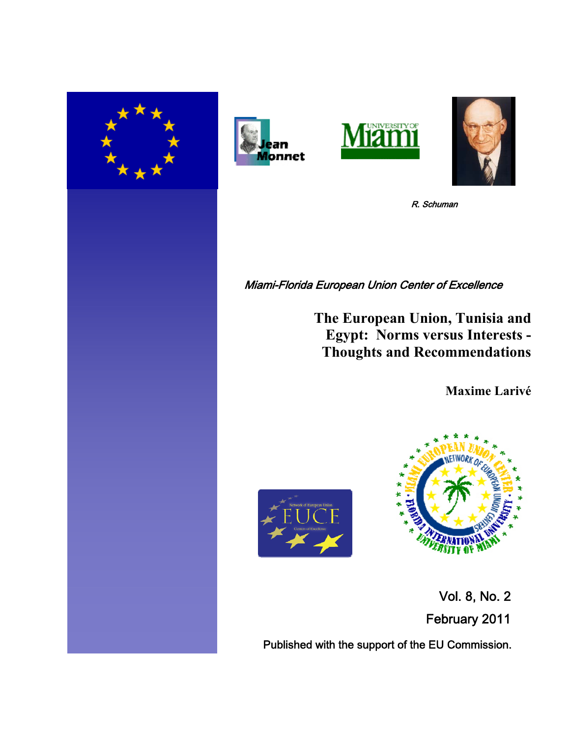







R. Schuman

Miami-Florida European Union Center of Excellence

**The European Union, Tunisia and Egypt: Norms versus Interests - Thoughts and Recommendations**

**Maxime Larivé**





 Vol. 8, No. 2 February 2011

Published with the support of the EU Commission.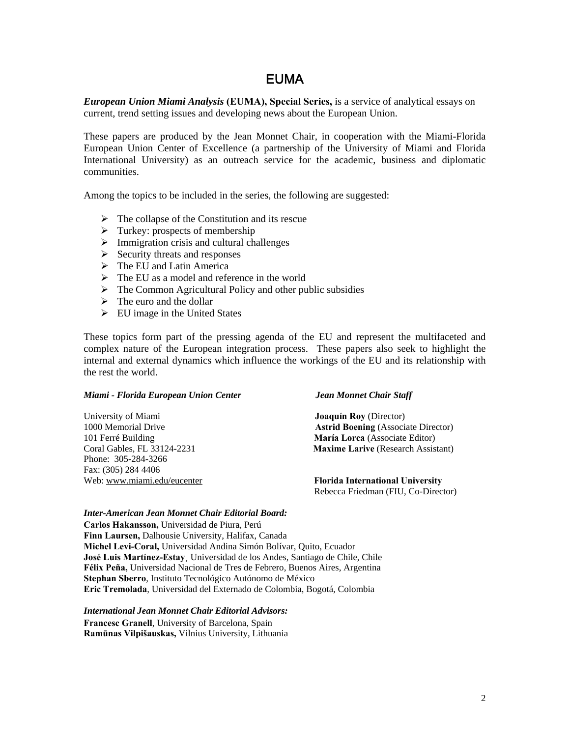# EUMA

*European Union Miami Analysis* **(EUMA), Special Series,** is a service of analytical essays on current, trend setting issues and developing news about the European Union.

These papers are produced by the Jean Monnet Chair, in cooperation with the Miami-Florida European Union Center of Excellence (a partnership of the University of Miami and Florida International University) as an outreach service for the academic, business and diplomatic communities.

Among the topics to be included in the series, the following are suggested:

- $\triangleright$  The collapse of the Constitution and its rescue
- $\triangleright$  Turkey: prospects of membership
- $\triangleright$  Immigration crisis and cultural challenges
- $\triangleright$  Security threats and responses
- $\triangleright$  The EU and Latin America
- $\triangleright$  The EU as a model and reference in the world
- $\triangleright$  The Common Agricultural Policy and other public subsidies
- $\triangleright$  The euro and the dollar
- $\triangleright$  EU image in the United States

These topics form part of the pressing agenda of the EU and represent the multifaceted and complex nature of the European integration process. These papers also seek to highlight the internal and external dynamics which influence the workings of the EU and its relationship with the rest the world.

### *Miami - Florida European Union Center Jean Monnet Chair Staff*

| University of Miami         | <b>Joaquín Roy</b> (Director)              |
|-----------------------------|--------------------------------------------|
| 1000 Memorial Drive         | <b>Astrid Boening (Associate Director)</b> |
| 101 Ferré Building          | María Lorca (Associate Editor)             |
| Coral Gables, FL 33124-2231 | <b>Maxime Larive</b> (Research Assistant)  |
| Phone: 305-284-3266         |                                            |
| Fax: (305) 284 4406         |                                            |
| Web: www.miami.edu/eucenter | <b>Florida International University</b>    |
|                             | Rebecca Friedman (FIU, Co-Director)        |

### *Inter-American Jean Monnet Chair Editorial Board:*

**Carlos Hakansson,** Universidad de Piura, Perú **Finn Laursen,** Dalhousie University, Halifax, Canada **Michel Levi-Coral,** Universidad Andina Simón Bolívar, Quito, Ecuador **José Luis Martínez-Estay¸** Universidad de los Andes, Santiago de Chile, Chile **Félix Peña,** Universidad Nacional de Tres de Febrero, Buenos Aires, Argentina **Stephan Sberro**, Instituto Tecnológico Autónomo de México **Eric Tremolada**, Universidad del Externado de Colombia, Bogotá, Colombia

*International Jean Monnet Chair Editorial Advisors:* 

**Francesc Granell**, University of Barcelona, Spain **Ramūnas Vilpišauskas,** Vilnius University, Lithuania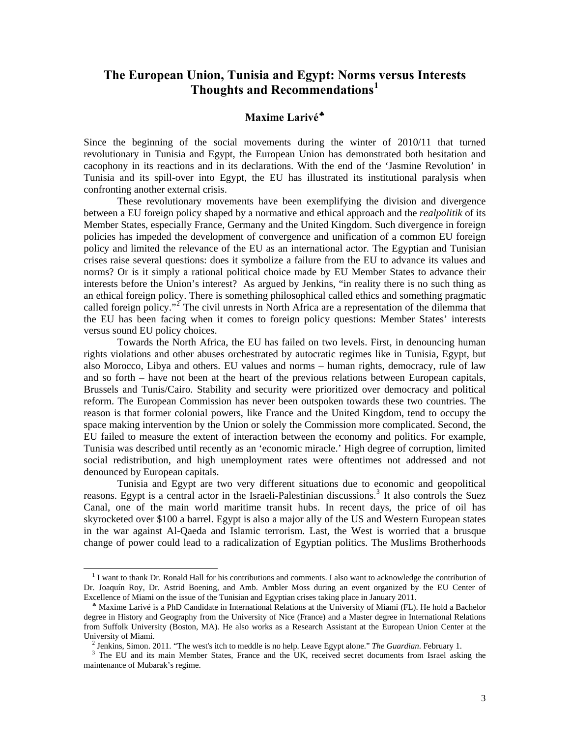# **The European Union, Tunisia and Egypt: Norms versus Interests Thoughts and Recommendations[1](#page-2-0)**

## **Maxime Larivé**

Since the beginning of the social movements during the winter of 2010/11 that turned revolutionary in Tunisia and Egypt, the European Union has demonstrated both hesitation and cacophony in its reactions and in its declarations. With the end of the 'Jasmine Revolution' in Tunisia and its spill-over into Egypt, the EU has illustrated its institutional paralysis when confronting another external crisis.

These revolutionary movements have been exemplifying the division and divergence between a EU foreign policy shaped by a normative and ethical approach and the *realpolitik* of its Member States, especially France, Germany and the United Kingdom. Such divergence in foreign policies has impeded the development of convergence and unification of a common EU foreign policy and limited the relevance of the EU as an international actor. The Egyptian and Tunisian crises raise several questions: does it symbolize a failure from the EU to advance its values and norms? Or is it simply a rational political choice made by EU Member States to advance their interests before the Union's interest? As argued by Jenkins, "in reality there is no such thing as an ethical foreign policy. There is something philosophical called ethics and something pragmatic called foreign policy."<sup>[2](#page-2-2)</sup> The civil unrests in North Africa are a representation of the dilemma that the EU has been facing when it comes to foreign policy questions: Member States' interests versus sound EU policy choices.

Towards the North Africa, the EU has failed on two levels. First, in denouncing human rights violations and other abuses orchestrated by autocratic regimes like in Tunisia, Egypt, but also Morocco, Libya and others. EU values and norms – human rights, democracy, rule of law and so forth – have not been at the heart of the previous relations between European capitals, Brussels and Tunis/Cairo. Stability and security were prioritized over democracy and political reform. The European Commission has never been outspoken towards these two countries. The reason is that former colonial powers, like France and the United Kingdom, tend to occupy the space making intervention by the Union or solely the Commission more complicated. Second, the EU failed to measure the extent of interaction between the economy and politics. For example, Tunisia was described until recently as an 'economic miracle.' High degree of corruption, limited social redistribution, and high unemployment rates were oftentimes not addressed and not denounced by European capitals.

 Tunisia and Egypt are two very different situations due to economic and geopolitical reasons. Egypt is a central actor in the Israeli-Palestinian discussions.<sup>[3](#page-2-3)</sup> It also controls the Suez Canal, one of the main world maritime transit hubs. In recent days, the price of oil has skyrocketed over \$100 a barrel. Egypt is also a major ally of the US and Western European states in the war against Al-Qaeda and Islamic terrorism. Last, the West is worried that a brusque change of power could lead to a radicalization of Egyptian politics. The Muslims Brotherhoods

<span id="page-2-0"></span><sup>&</sup>lt;sup>1</sup> I want to thank Dr. Ronald Hall for his contributions and comments. I also want to acknowledge the contribution of Dr. Joaquín Roy, Dr. Astrid Boening, and Amb. Ambler Moss during an event organized by the EU Center of Excellence of Miami on the issue of the Tunisian and Egyptian crises taking place in January 2011.

<span id="page-2-1"></span>Maxime Larivé is a PhD Candidate in International Relations at the University of Miami (FL). He hold a Bachelor degree in History and Geography from the University of Nice (France) and a Master degree in International Relations from Suffolk University (Boston, MA). He also works as a Research Assistant at the European Union Center at the University of Miami. 2

<sup>&</sup>lt;sup>2</sup> Jenkins, Simon. 2011. "The west's itch to meddle is no help. Leave Egypt alone." The Guardian. February 1.

<span id="page-2-3"></span><span id="page-2-2"></span><sup>&</sup>lt;sup>3</sup> The EU and its main Member States, France and the UK, received secret documents from Israel asking the maintenance of Mubarak's regime.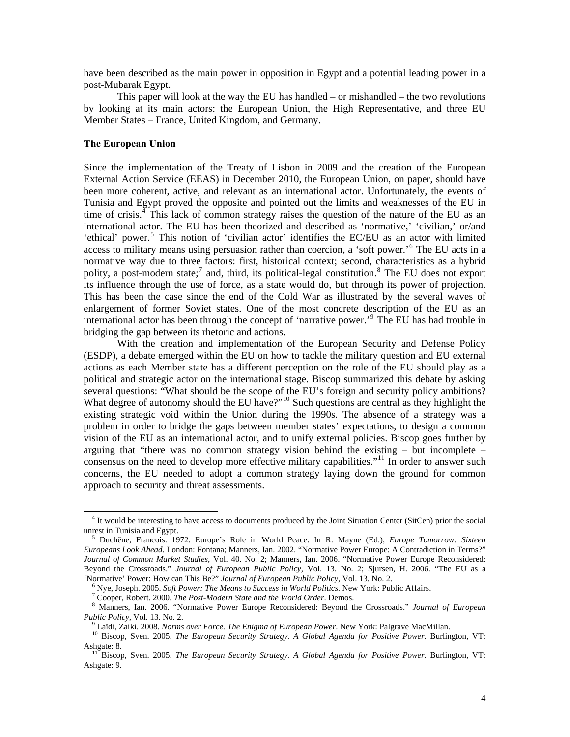have been described as the main power in opposition in Egypt and a potential leading power in a post-Mubarak Egypt.

 This paper will look at the way the EU has handled – or mishandled – the two revolutions by looking at its main actors: the European Union, the High Representative, and three EU Member States – France, United Kingdom, and Germany.

### **The European Union**

 $\overline{\phantom{a}}$ 

Since the implementation of the Treaty of Lisbon in 2009 and the creation of the European External Action Service (EEAS) in December 2010, the European Union, on paper, should have been more coherent, active, and relevant as an international actor. Unfortunately, the events of Tunisia and Egypt proved the opposite and pointed out the limits and weaknesses of the EU in time of crisis.<sup> $4$ </sup> This lack of common strategy raises the question of the nature of the EU as an international actor. The EU has been theorized and described as 'normative,' 'civilian,' or/and 'ethical' power.<sup>[5](#page-3-1)</sup> This notion of 'civilian actor' identifies the EC/EU as an actor with limited access to military means using persuasion rather than coercion, a 'soft power.'<sup>[6](#page-3-2)</sup> The EU acts in a normative way due to three factors: first, historical context; second, characteristics as a hybrid polity, a post-modern state;<sup>[7](#page-3-3)</sup> and, third, its political-legal constitution.<sup>[8](#page-3-4)</sup> The EU does not export its influence through the use of force, as a state would do, but through its power of projection. This has been the case since the end of the Cold War as illustrated by the several waves of enlargement of former Soviet states. One of the most concrete description of the EU as an international actor has been through the concept of 'narrative power.'[9](#page-3-5) The EU has had trouble in bridging the gap between its rhetoric and actions.

With the creation and implementation of the European Security and Defense Policy (ESDP), a debate emerged within the EU on how to tackle the military question and EU external actions as each Member state has a different perception on the role of the EU should play as a political and strategic actor on the international stage. Biscop summarized this debate by asking several questions: "What should be the scope of the EU's foreign and security policy ambitions? What degree of autonomy should the EU have?"<sup>[10](#page-3-6)</sup> Such questions are central as they highlight the existing strategic void within the Union during the 1990s. The absence of a strategy was a problem in order to bridge the gaps between member states' expectations, to design a common vision of the EU as an international actor, and to unify external policies. Biscop goes further by arguing that "there was no common strategy vision behind the existing  $-$  but incomplete  $-$ consensus on the need to develop more effective military capabilities."<sup>[11](#page-3-7)</sup> In order to answer such concerns, the EU needed to adopt a common strategy laying down the ground for common approach to security and threat assessments.

<span id="page-3-0"></span><sup>&</sup>lt;sup>4</sup> It would be interesting to have access to documents produced by the Joint Situation Center (SitCen) prior the social unrest in Tunisia and Egypt. 5

<span id="page-3-1"></span>Duchêne, Francois. 1972. Europe's Role in World Peace. In R. Mayne (Ed.), *Europe Tomorrow: Sixteen Europeans Look Ahead*. London: Fontana; Manners, Ian. 2002. "Normative Power Europe: A Contradiction in Terms?" *Journal of Common Market Studies,* Vol. 40. No. 2; Manners, Ian. 2006. "Normative Power Europe Reconsidered: Beyond the Crossroads." *Journal of European Public Policy,* Vol. 13. No. 2; Sjursen, H. 2006. "The EU as a 'Normative' Power: How can This Be?" *Journal of European Public Policy,* Vol. 13*.* No. 2. 6

Nye, Joseph. 2005. *Soft Power: The Means to Success in World Politics*. New York: Public Affairs. 7

<sup>&</sup>lt;sup>7</sup> Cooper, Robert. 2000. *The Post-Modern State and the World Order*. Demos.

<span id="page-3-4"></span><span id="page-3-3"></span><span id="page-3-2"></span>Manners, Ian. 2006. "Normative Power Europe Reconsidered: Beyond the Crossroads." *Journal of European Public Policy, Vol. 13. No. 2.* 9. 1990.<br>Pullidi, Zaiki. 2008. Norms over Force. The Enigma of European Power. New York: Palgrave MacMillan.

<span id="page-3-6"></span><span id="page-3-5"></span><sup>&</sup>lt;sup>10</sup> Biscop, Sven. 2005. The European Security Strategy. A Global Agenda for Positive Power. Burlington, VT: Ashgate: 8. 11 Biscop, Sven. 2005. *The European Security Strategy. A Global Agenda for Positive Power*. Burlington, VT:

<span id="page-3-7"></span>Ashgate: 9.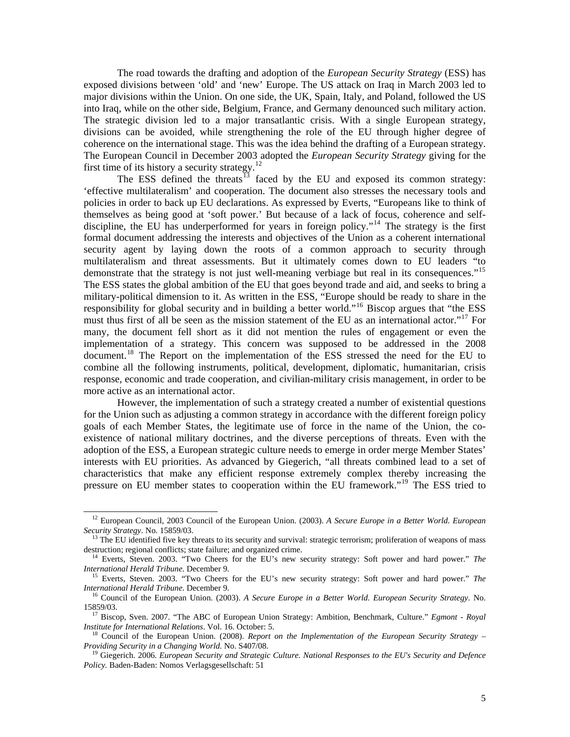The road towards the drafting and adoption of the *European Security Strategy* (ESS) has exposed divisions between 'old' and 'new' Europe. The US attack on Iraq in March 2003 led to major divisions within the Union. On one side, the UK, Spain, Italy, and Poland, followed the US into Iraq, while on the other side, Belgium, France, and Germany denounced such military action. The strategic division led to a major transatlantic crisis. With a single European strategy, divisions can be avoided, while strengthening the role of the EU through higher degree of coherence on the international stage. This was the idea behind the drafting of a European strategy. The European Council in December 2003 adopted the *European Security Strategy* giving for the first time of its history a security strategy.<sup>[12](#page-4-0)</sup>

The ESS defined the threats<sup>[13](#page-4-1)</sup> faced by the EU and exposed its common strategy: 'effective multilateralism' and cooperation. The document also stresses the necessary tools and policies in order to back up EU declarations. As expressed by Everts, "Europeans like to think of themselves as being good at 'soft power.' But because of a lack of focus, coherence and self-discipline, the EU has underperformed for years in foreign policy."<sup>[14](#page-4-2)</sup> The strategy is the first formal document addressing the interests and objectives of the Union as a coherent international security agent by laying down the roots of a common approach to security through multilateralism and threat assessments. But it ultimately comes down to EU leaders "to demonstrate that the strategy is not just well-meaning verbiage but real in its consequences."<sup>[15](#page-4-3)</sup> The ESS states the global ambition of the EU that goes beyond trade and aid, and seeks to bring a military-political dimension to it. As written in the ESS, "Europe should be ready to share in the responsibility for global security and in building a better world."<sup>[16](#page-4-4)</sup> Biscop argues that "the ESS must thus first of all be seen as the mission statement of the EU as an international actor."<sup>[17](#page-4-5)</sup> For many, the document fell short as it did not mention the rules of engagement or even the implementation of a strategy. This concern was supposed to be addressed in the 2008 document.<sup>[18](#page-4-6)</sup> The Report on the implementation of the ESS stressed the need for the EU to combine all the following instruments, political, development, diplomatic, humanitarian, crisis response, economic and trade cooperation, and civilian-military crisis management, in order to be more active as an international actor.

However, the implementation of such a strategy created a number of existential questions for the Union such as adjusting a common strategy in accordance with the different foreign policy goals of each Member States, the legitimate use of force in the name of the Union, the coexistence of national military doctrines, and the diverse perceptions of threats. Even with the adoption of the ESS, a European strategic culture needs to emerge in order merge Member States' interests with EU priorities. As advanced by Giegerich, "all threats combined lead to a set of characteristics that make any efficient response extremely complex thereby increasing the pressure on EU member states to cooperation within the EU framework."<sup>[19](#page-4-7)</sup> The ESS tried to

 $\overline{\phantom{a}}$ 

<span id="page-4-0"></span><sup>12</sup> European Council, 2003 Council of the European Union. (2003). *A Secure Europe in a Better World. European* 

<span id="page-4-1"></span>*Security Strategy*. No. 15859/03.<br><sup>13</sup> The EU identified five key threats to its security and survival: strategic terrorism; proliferation of weapons of mass destruction; regional conflicts; state failure; and organized c

<span id="page-4-2"></span><sup>&</sup>lt;sup>14</sup> Everts, Steven. 2003. "Two Cheers for the EU's new security strategy: Soft power and hard power." *The International Herald Tribune*. December 9.

<span id="page-4-3"></span><sup>&</sup>lt;sup>15</sup> Everts, Steven. 2003. "Two Cheers for the EU's new security strategy: Soft power and hard power." *The International Herald Tribune*. December 9.

<sup>&</sup>lt;sup>16</sup> Council of the European Union. (2003). *A Secure Europe in a Better World. European Security Strategy*. No.

<span id="page-4-5"></span><span id="page-4-4"></span><sup>15859/03. 17</sup> Biscop, Sven. 2007. "The ABC of European Union Strategy: Ambition, Benchmark, Culture." *Egmont - Royal* 

<span id="page-4-6"></span><sup>&</sup>lt;sup>18</sup> Council of the European Union. (2008). *Report on the Implementation of the European Security Strategy – Providing Security in a Changing World*. No. S407/08. 19 Giegerich. 2006. *European Security and Strategic Culture. National Responses to the EU's Security and Defence* 

<span id="page-4-7"></span>*Policy.* Baden-Baden: Nomos Verlagsgesellschaft: 51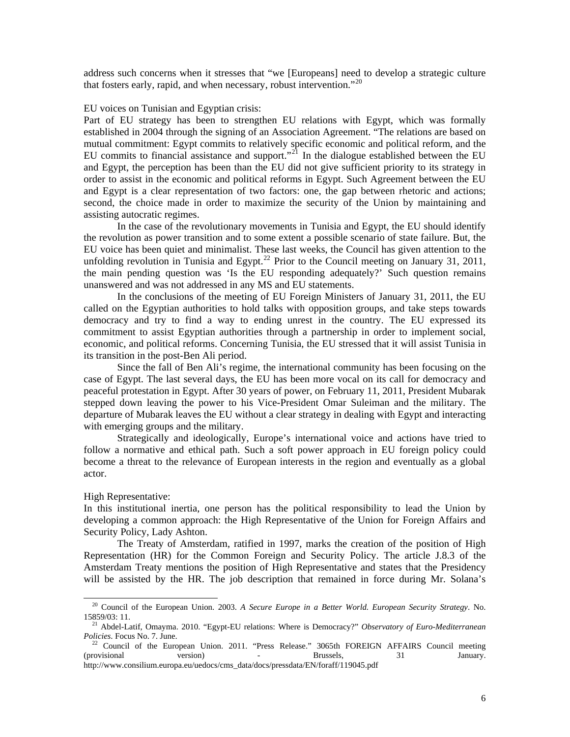address such concerns when it stresses that "we [Europeans] need to develop a strategic culture that fosters early, rapid, and when necessary, robust intervention."<sup>[20](#page-5-0)</sup>

### EU voices on Tunisian and Egyptian crisis:

Part of EU strategy has been to strengthen EU relations with Egypt, which was formally established in 2004 through the signing of an Association Agreement. "The relations are based on mutual commitment: Egypt commits to relatively specific economic and political reform, and the EU commits to financial assistance and support."<sup>[21](#page-5-1)</sup> In the dialogue established between the EU and Egypt, the perception has been than the EU did not give sufficient priority to its strategy in order to assist in the economic and political reforms in Egypt. Such Agreement between the EU and Egypt is a clear representation of two factors: one, the gap between rhetoric and actions; second, the choice made in order to maximize the security of the Union by maintaining and assisting autocratic regimes.

In the case of the revolutionary movements in Tunisia and Egypt, the EU should identify the revolution as power transition and to some extent a possible scenario of state failure. But, the EU voice has been quiet and minimalist. These last weeks, the Council has given attention to the unfolding revolution in Tunisia and Egypt.<sup>[22](#page-5-2)</sup> Prior to the Council meeting on January 31, 2011, the main pending question was 'Is the EU responding adequately?' Such question remains unanswered and was not addressed in any MS and EU statements.

In the conclusions of the meeting of EU Foreign Ministers of January 31, 2011, the EU called on the Egyptian authorities to hold talks with opposition groups, and take steps towards democracy and try to find a way to ending unrest in the country. The EU expressed its commitment to assist Egyptian authorities through a partnership in order to implement social, economic, and political reforms. Concerning Tunisia, the EU stressed that it will assist Tunisia in its transition in the post-Ben Ali period.

Since the fall of Ben Ali's regime, the international community has been focusing on the case of Egypt. The last several days, the EU has been more vocal on its call for democracy and peaceful protestation in Egypt. After 30 years of power, on February 11, 2011, President Mubarak stepped down leaving the power to his Vice-President Omar Suleiman and the military. The departure of Mubarak leaves the EU without a clear strategy in dealing with Egypt and interacting with emerging groups and the military.

Strategically and ideologically, Europe's international voice and actions have tried to follow a normative and ethical path. Such a soft power approach in EU foreign policy could become a threat to the relevance of European interests in the region and eventually as a global actor.

High Representative:

In this institutional inertia, one person has the political responsibility to lead the Union by developing a common approach: the High Representative of the Union for Foreign Affairs and Security Policy, Lady Ashton.

The Treaty of Amsterdam, ratified in 1997, marks the creation of the position of High Representation (HR) for the Common Foreign and Security Policy. The article J.8.3 of the Amsterdam Treaty mentions the position of High Representative and states that the Presidency will be assisted by the HR. The job description that remained in force during Mr. Solana's

<span id="page-5-0"></span><sup>&</sup>lt;sup>20</sup> Council of the European Union. 2003. *A Secure Europe in a Better World. European Security Strategy*. No. 15859/03: 11.

<span id="page-5-1"></span><sup>&</sup>lt;sup>21</sup> Abdel-Latif, Omayma. 2010. "Egypt-EU relations: Where is Democracy?" *Observatory of Euro-Mediterranean Policies*. Focus No. 7. June.

<span id="page-5-2"></span>Council of the European Union. 2011. "Press Release." 3065th FOREIGN AFFAIRS Council meeting (provisional version) - Brussels, 31 January. http://www.consilium.europa.eu/uedocs/cms\_data/docs/pressdata/EN/foraff/119045.pdf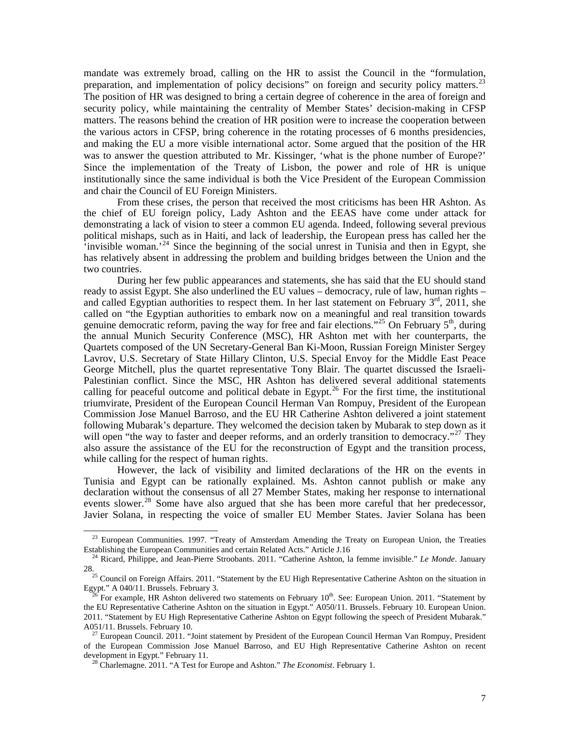mandate was extremely broad, calling on the HR to assist the Council in the "formulation, preparation, and implementation of policy decisions" on foreign and security policy matters. $^{23}$  $^{23}$  $^{23}$ The position of HR was designed to bring a certain degree of coherence in the area of foreign and security policy, while maintaining the centrality of Member States' decision-making in CFSP matters. The reasons behind the creation of HR position were to increase the cooperation between the various actors in CFSP, bring coherence in the rotating processes of 6 months presidencies, and making the EU a more visible international actor. Some argued that the position of the HR was to answer the question attributed to Mr. Kissinger, 'what is the phone number of Europe?' Since the implementation of the Treaty of Lisbon, the power and role of HR is unique institutionally since the same individual is both the Vice President of the European Commission and chair the Council of EU Foreign Ministers.

From these crises, the person that received the most criticisms has been HR Ashton. As the chief of EU foreign policy, Lady Ashton and the EEAS have come under attack for demonstrating a lack of vision to steer a common EU agenda. Indeed, following several previous political mishaps, such as in Haiti, and lack of leadership, the European press has called her the  $\cdot$ invisible woman.<sup>[24](#page-6-1)</sup> Since the beginning of the social unrest in Tunisia and then in Egypt, she has relatively absent in addressing the problem and building bridges between the Union and the two countries.

During her few public appearances and statements, she has said that the EU should stand ready to assist Egypt. She also underlined the EU values – democracy, rule of law, human rights – and called Egyptian authorities to respect them. In her last statement on February  $3<sup>rd</sup>$ , 2011, she called on "the Egyptian authorities to embark now on a meaningful and real transition towards genuine democratic reform, paving the way for free and fair elections."<sup>[25](#page-6-2)</sup> On February  $5<sup>th</sup>$ , during the annual Munich Security Conference (MSC), HR Ashton met with her counterparts, the Quartets composed of the UN Secretary-General Ban Ki-Moon, Russian Foreign Minister Sergey Lavrov, U.S. Secretary of State Hillary Clinton, U.S. Special Envoy for the Middle East Peace George Mitchell, plus the quartet representative Tony Blair. The quartet discussed the Israeli-Palestinian conflict. Since the MSC, HR Ashton has delivered several additional statements calling for peaceful outcome and political debate in Egypt.<sup>[26](#page-6-3)</sup> For the first time, the institutional triumvirate, President of the European Council Herman Van Rompuy, President of the European Commission Jose Manuel Barroso, and the EU HR Catherine Ashton delivered a joint statement following Mubarak's departure. They welcomed the decision taken by Mubarak to step down as it will open "the way to faster and deeper reforms, and an orderly transition to democracy."<sup>[27](#page-6-4)</sup> They also assure the assistance of the EU for the reconstruction of Egypt and the transition process, while calling for the respect of human rights.

However, the lack of visibility and limited declarations of the HR on the events in Tunisia and Egypt can be rationally explained. Ms. Ashton cannot publish or make any declaration without the consensus of all 27 Member States, making her response to international events slower.<sup>[28](#page-6-5)</sup> Some have also argued that she has been more careful that her predecessor, Javier Solana, in respecting the voice of smaller EU Member States. Javier Solana has been

 $\overline{a}$ 

<span id="page-6-0"></span> $^{23}$  European Communities. 1997. "Treaty of Amsterdam Amending the Treaty on European Union, the Treaties Establishing the European Communities and certain Related Acts." Article J.16

<sup>&</sup>lt;sup>24</sup> Ricard, Philippe, and Jean-Pierre Stroobants. 2011. "Catherine Ashton, la femme invisible." *Le Monde*. January

<span id="page-6-2"></span><span id="page-6-1"></span><sup>28.&</sup>lt;br><sup>25</sup> Council on Foreign Affairs. 2011. "Statement by the EU High Representative Catherine Ashton on the situation in Egypt." A 040/11. Brussels. February 3.

<span id="page-6-3"></span>For example, HR Ashton delivered two statements on February 10<sup>th</sup>. See: European Union. 2011. "Statement by the EU Representative Catherine Ashton on the situation in Egypt." A050/11. Brussels. February 10. European Union. 2011. "Statement by EU High Representative Catherine Ashton on Egypt following the speech of President Mubarak." A051/11. Brussels. February 10.<br><sup>27</sup> European Council. 2011. "Joint statement by President of the European Council Herman Van Rompuy, President

<span id="page-6-5"></span><span id="page-6-4"></span>of the European Commission Jose Manuel Barroso, and EU High Representative Catherine Ashton on recent development in Egypt." February 11. 28 Charlemagne. 2011. "A Test for Europe and Ashton." *The Economist*. February 1.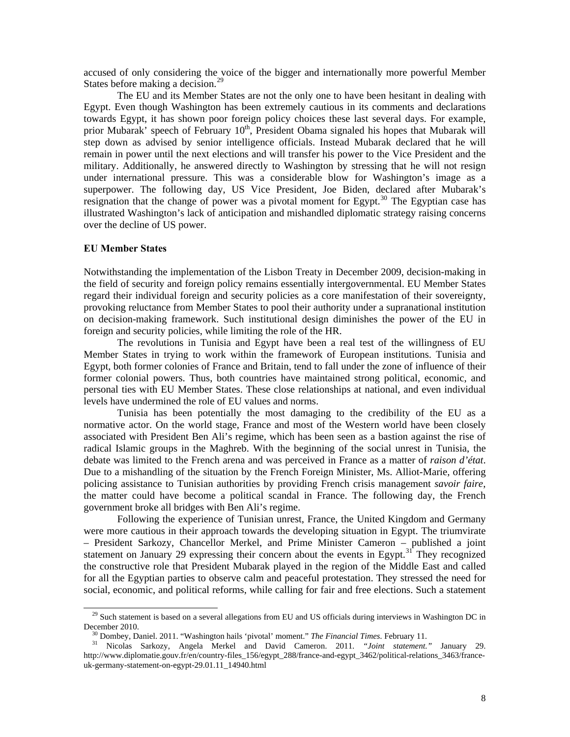accused of only considering the voice of the bigger and internationally more powerful Member States before making a decision.<sup>[29](#page-7-0)</sup>

The EU and its Member States are not the only one to have been hesitant in dealing with Egypt. Even though Washington has been extremely cautious in its comments and declarations towards Egypt, it has shown poor foreign policy choices these last several days. For example, prior Mubarak' speech of February 10<sup>th</sup>, President Obama signaled his hopes that Mubarak will step down as advised by senior intelligence officials. Instead Mubarak declared that he will remain in power until the next elections and will transfer his power to the Vice President and the military. Additionally, he answered directly to Washington by stressing that he will not resign under international pressure. This was a considerable blow for Washington's image as a superpower. The following day, US Vice President, Joe Biden, declared after Mubarak's resignation that the change of power was a pivotal moment for Egypt.<sup>[30](#page-7-1)</sup> The Egyptian case has illustrated Washington's lack of anticipation and mishandled diplomatic strategy raising concerns over the decline of US power.

### **EU Member States**

Notwithstanding the implementation of the Lisbon Treaty in December 2009, decision-making in the field of security and foreign policy remains essentially intergovernmental. EU Member States regard their individual foreign and security policies as a core manifestation of their sovereignty, provoking reluctance from Member States to pool their authority under a supranational institution on decision-making framework. Such institutional design diminishes the power of the EU in foreign and security policies, while limiting the role of the HR.

The revolutions in Tunisia and Egypt have been a real test of the willingness of EU Member States in trying to work within the framework of European institutions. Tunisia and Egypt, both former colonies of France and Britain, tend to fall under the zone of influence of their former colonial powers. Thus, both countries have maintained strong political, economic, and personal ties with EU Member States. These close relationships at national, and even individual levels have undermined the role of EU values and norms.

Tunisia has been potentially the most damaging to the credibility of the EU as a normative actor. On the world stage, France and most of the Western world have been closely associated with President Ben Ali's regime, which has been seen as a bastion against the rise of radical Islamic groups in the Maghreb. With the beginning of the social unrest in Tunisia, the debate was limited to the French arena and was perceived in France as a matter of *raison d'état*. Due to a mishandling of the situation by the French Foreign Minister, Ms. Alliot-Marie, offering policing assistance to Tunisian authorities by providing French crisis management *savoir faire*, the matter could have become a political scandal in France. The following day, the French government broke all bridges with Ben Ali's regime.

Following the experience of Tunisian unrest, France, the United Kingdom and Germany were more cautious in their approach towards the developing situation in Egypt. The triumvirate – President Sarkozy, Chancellor Merkel, and Prime Minister Cameron – published a joint statement on January 29 expressing their concern about the events in Egypt.<sup>[31](#page-7-2)</sup> They recognized the constructive role that President Mubarak played in the region of the Middle East and called for all the Egyptian parties to observe calm and peaceful protestation. They stressed the need for social, economic, and political reforms, while calling for fair and free elections. Such a statement

<span id="page-7-0"></span> $29$  Such statement is based on a several allegations from EU and US officials during interviews in Washington DC in December 2010. 30 Dombey, Daniel. 2011. "Washington hails 'pivotal' moment." *The Financial Times*. February 11. 31 Nicolas Sarkozy, Angela Merkel and David Cameron. 2011. *"Joint statement."* January 29.

<span id="page-7-2"></span><span id="page-7-1"></span>http://www.diplomatie.gouv.fr/en/country-files\_156/egypt\_288/france-and-egypt\_3462/political-relations\_3463/franceuk-germany-statement-on-egypt-29.01.11\_14940.html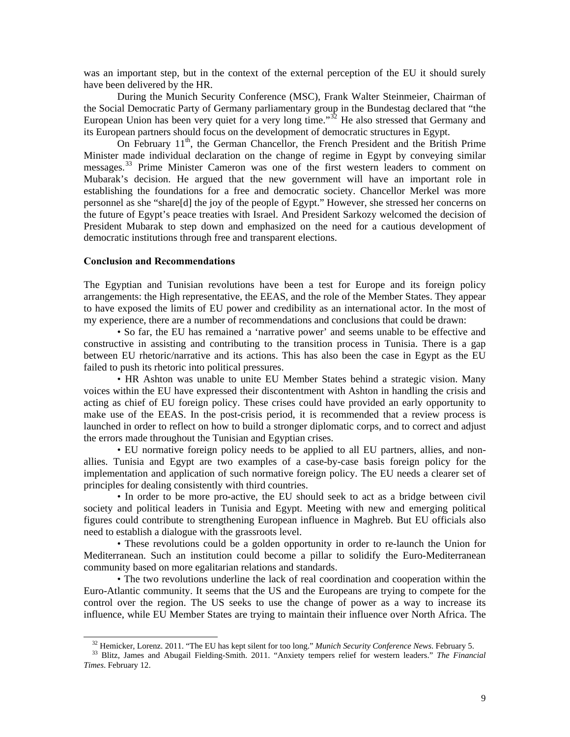was an important step, but in the context of the external perception of the EU it should surely have been delivered by the HR.

During the Munich Security Conference (MSC), Frank Walter Steinmeier, Chairman of the Social Democratic Party of Germany parliamentary group in the Bundestag declared that "the European Union has been very quiet for a very long time." $32$  He also stressed that Germany and its European partners should focus on the development of democratic structures in Egypt.

On February 11<sup>th</sup>, the German Chancellor, the French President and the British Prime Minister made individual declaration on the change of regime in Egypt by conveying similar messages.<sup>[33](#page-8-1)</sup> Prime Minister Cameron was one of the first western leaders to comment on Mubarak's decision. He argued that the new government will have an important role in establishing the foundations for a free and democratic society. Chancellor Merkel was more personnel as she "share[d] the joy of the people of Egypt." However, she stressed her concerns on the future of Egypt's peace treaties with Israel. And President Sarkozy welcomed the decision of President Mubarak to step down and emphasized on the need for a cautious development of democratic institutions through free and transparent elections.

## **Conclusion and Recommendations**

The Egyptian and Tunisian revolutions have been a test for Europe and its foreign policy arrangements: the High representative, the EEAS, and the role of the Member States. They appear to have exposed the limits of EU power and credibility as an international actor. In the most of my experience, there are a number of recommendations and conclusions that could be drawn:

• So far, the EU has remained a 'narrative power' and seems unable to be effective and constructive in assisting and contributing to the transition process in Tunisia. There is a gap between EU rhetoric/narrative and its actions. This has also been the case in Egypt as the EU failed to push its rhetoric into political pressures.

• HR Ashton was unable to unite EU Member States behind a strategic vision. Many voices within the EU have expressed their discontentment with Ashton in handling the crisis and acting as chief of EU foreign policy. These crises could have provided an early opportunity to make use of the EEAS. In the post-crisis period, it is recommended that a review process is launched in order to reflect on how to build a stronger diplomatic corps, and to correct and adjust the errors made throughout the Tunisian and Egyptian crises.

• EU normative foreign policy needs to be applied to all EU partners, allies, and nonallies. Tunisia and Egypt are two examples of a case-by-case basis foreign policy for the implementation and application of such normative foreign policy. The EU needs a clearer set of principles for dealing consistently with third countries.

• In order to be more pro-active, the EU should seek to act as a bridge between civil society and political leaders in Tunisia and Egypt. Meeting with new and emerging political figures could contribute to strengthening European influence in Maghreb. But EU officials also need to establish a dialogue with the grassroots level.

• These revolutions could be a golden opportunity in order to re-launch the Union for Mediterranean. Such an institution could become a pillar to solidify the Euro-Mediterranean community based on more egalitarian relations and standards.

• The two revolutions underline the lack of real coordination and cooperation within the Euro-Atlantic community. It seems that the US and the Europeans are trying to compete for the control over the region. The US seeks to use the change of power as a way to increase its influence, while EU Member States are trying to maintain their influence over North Africa. The

<span id="page-8-1"></span><span id="page-8-0"></span> $32$  Hemicker, Lorenz. 2011. "The EU has kept silent for too long." *Munich Security Conference News*. February 5.<br><sup>33</sup> Blitz, James and Abugail Fielding-Smith. 2011. "Anxiety tempers relief for western leaders." *The Fin Times*. February 12.